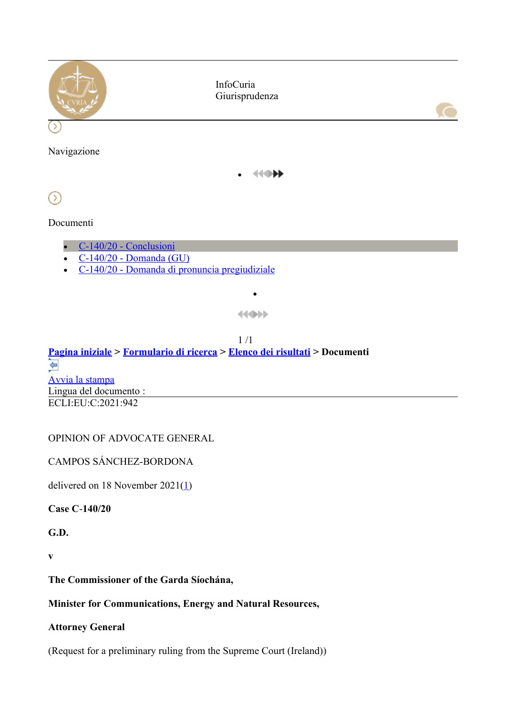

#### Documenti

- C-140/20 Conclusioni
- $\overline{C-140/20}$  Domanda (GU)
- C-140/20 Domanda di pronuncia pregiudiziale

444000

 $\bullet$ 

#### $1/1$ **Pagina iniziale > Formulario di ricerca > Elenco dei risultati > Documenti**   $\Leftrightarrow$ Avvia la stampa Lingua del documento : ECLI:EU:C:2021:942

## OPINION OF ADVOCATE GENERAL

CAMPOS SÁNCHEZ-BORDONA

delivered on 18 November 2021 $(1)$ 

**Case C**-**140/20**

**G.D.**

**v**

**The Commissioner of the Garda Síochána,**

#### **Minister for Communications, Energy and Natural Resources,**

#### **Attorney General**

(Request for a preliminary ruling from the Supreme Court (Ireland))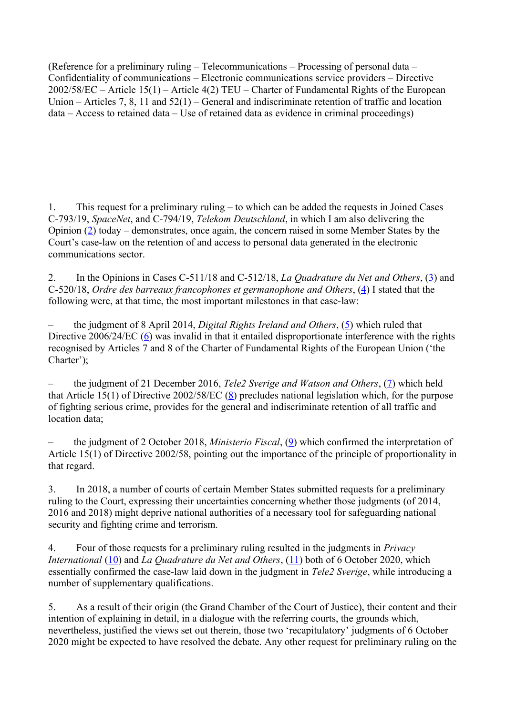(Reference for a preliminary ruling – Telecommunications – Processing of personal data – Confidentiality of communications – Electronic communications service providers – Directive 2002/58/EC – Article 15(1) – Article 4(2) TEU – Charter of Fundamental Rights of the European Union – Articles 7, 8, 11 and 52(1) – General and indiscriminate retention of traffic and location data – Access to retained data – Use of retained data as evidence in criminal proceedings)

1. This request for a preliminary ruling – to which can be added the requests in Joined Cases C-793/19, *SpaceNet*, and C-794/19, *Telekom Deutschland*, in which I am also delivering the Opinion (2) today – demonstrates, once again, the concern raised in some Member States by the Court's case-law on the retention of and access to personal data generated in the electronic communications sector.

2. In the Opinions in Cases C-511/18 and C-512/18, *La Quadrature du Net and Others*, (3) and C-520/18, *Ordre des barreaux francophones et germanophone and Others*, (4) I stated that the following were, at that time, the most important milestones in that case-law:

– the judgment of 8 April 2014, *Digital Rights Ireland and Others*, (5) which ruled that Directive 2006/24/EC (6) was invalid in that it entailed disproportionate interference with the rights recognised by Articles 7 and 8 of the Charter of Fundamental Rights of the European Union ('the Charter');

– the judgment of 21 December 2016, *Tele2 Sverige and Watson and Others*, (7) which held that Article 15(1) of Directive 2002/58/EC (8) precludes national legislation which, for the purpose of fighting serious crime, provides for the general and indiscriminate retention of all traffic and location data;

– the judgment of 2 October 2018, *Ministerio Fiscal*, (9) which confirmed the interpretation of Article 15(1) of Directive 2002/58, pointing out the importance of the principle of proportionality in that regard.

3. In 2018, a number of courts of certain Member States submitted requests for a preliminary ruling to the Court, expressing their uncertainties concerning whether those judgments (of 2014, 2016 and 2018) might deprive national authorities of a necessary tool for safeguarding national security and fighting crime and terrorism.

4. Four of those requests for a preliminary ruling resulted in the judgments in *Privacy International* (10) and *La Quadrature du Net and Others*, (11) both of 6 October 2020, which essentially confirmed the case-law laid down in the judgment in *Tele2 Sverige*, while introducing a number of supplementary qualifications.

5. As a result of their origin (the Grand Chamber of the Court of Justice), their content and their intention of explaining in detail, in a dialogue with the referring courts, the grounds which, nevertheless, justified the views set out therein, those two 'recapitulatory' judgments of 6 October 2020 might be expected to have resolved the debate. Any other request for preliminary ruling on the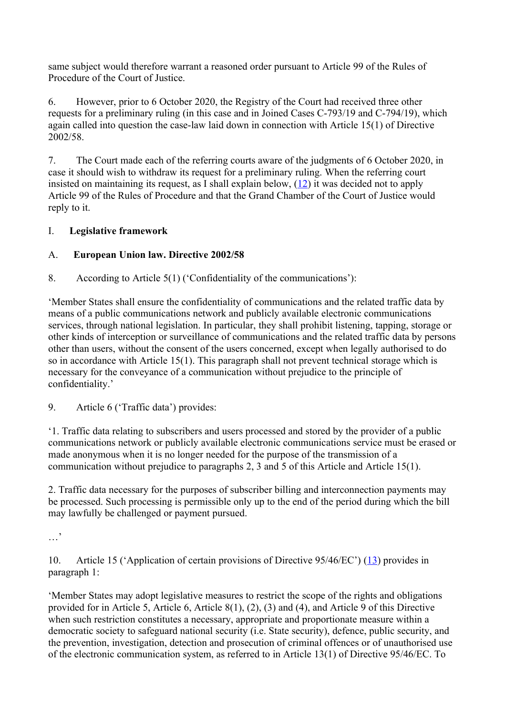same subject would therefore warrant a reasoned order pursuant to Article 99 of the Rules of Procedure of the Court of Justice.

6. However, prior to 6 October 2020, the Registry of the Court had received three other requests for a preliminary ruling (in this case and in Joined Cases C-793/19 and C-794/19), which again called into question the case-law laid down in connection with Article 15(1) of Directive 2002/58.

7. The Court made each of the referring courts aware of the judgments of 6 October 2020, in case it should wish to withdraw its request for a preliminary ruling. When the referring court insisted on maintaining its request, as I shall explain below, (12) it was decided not to apply Article 99 of the Rules of Procedure and that the Grand Chamber of the Court of Justice would reply to it.

## I. **Legislative framework**

## A. **European Union law. Directive 2002/58**

8. According to Article 5(1) ('Confidentiality of the communications'):

'Member States shall ensure the confidentiality of communications and the related traffic data by means of a public communications network and publicly available electronic communications services, through national legislation. In particular, they shall prohibit listening, tapping, storage or other kinds of interception or surveillance of communications and the related traffic data by persons other than users, without the consent of the users concerned, except when legally authorised to do so in accordance with Article 15(1). This paragraph shall not prevent technical storage which is necessary for the conveyance of a communication without prejudice to the principle of confidentiality.'

9. Article 6 ('Traffic data') provides:

'1. Traffic data relating to subscribers and users processed and stored by the provider of a public communications network or publicly available electronic communications service must be erased or made anonymous when it is no longer needed for the purpose of the transmission of a communication without prejudice to paragraphs 2, 3 and 5 of this Article and Article 15(1).

2. Traffic data necessary for the purposes of subscriber billing and interconnection payments may be processed. Such processing is permissible only up to the end of the period during which the bill may lawfully be challenged or payment pursued.

…'

10. Article 15 ('Application of certain provisions of Directive 95/46/EC') (13) provides in paragraph 1:

'Member States may adopt legislative measures to restrict the scope of the rights and obligations provided for in Article 5, Article 6, Article 8(1), (2), (3) and (4), and Article 9 of this Directive when such restriction constitutes a necessary, appropriate and proportionate measure within a democratic society to safeguard national security (i.e. State security), defence, public security, and the prevention, investigation, detection and prosecution of criminal offences or of unauthorised use of the electronic communication system, as referred to in Article 13(1) of Directive 95/46/EC. To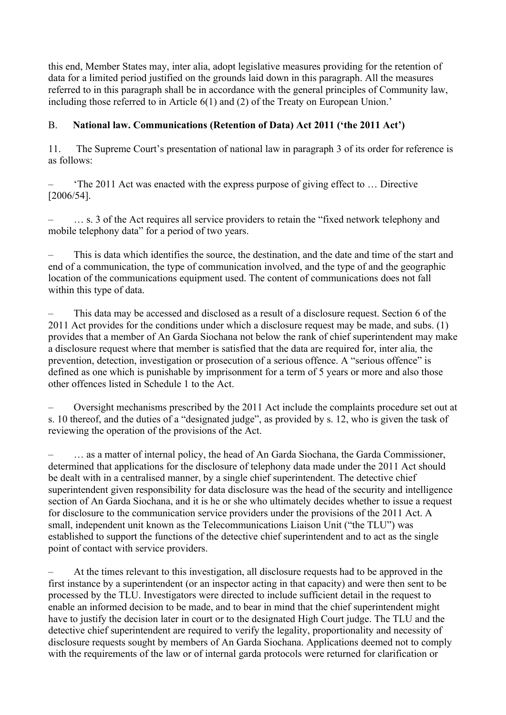this end, Member States may, inter alia, adopt legislative measures providing for the retention of data for a limited period justified on the grounds laid down in this paragraph. All the measures referred to in this paragraph shall be in accordance with the general principles of Community law, including those referred to in Article 6(1) and (2) of the Treaty on European Union.'

#### B. **National law. Communications (Retention of Data) Act 2011 ('the 2011 Act')**

11. The Supreme Court's presentation of national law in paragraph 3 of its order for reference is as follows:

– 'The 2011 Act was enacted with the express purpose of giving effect to … Directive [2006/54].

– … s. 3 of the Act requires all service providers to retain the "fixed network telephony and mobile telephony data" for a period of two years.

– This is data which identifies the source, the destination, and the date and time of the start and end of a communication, the type of communication involved, and the type of and the geographic location of the communications equipment used. The content of communications does not fall within this type of data.

– This data may be accessed and disclosed as a result of a disclosure request. Section 6 of the 2011 Act provides for the conditions under which a disclosure request may be made, and subs. (1) provides that a member of An Garda Siochana not below the rank of chief superintendent may make a disclosure request where that member is satisfied that the data are required for, inter alia*,* the prevention, detection, investigation or prosecution of a serious offence. A "serious offence" is defined as one which is punishable by imprisonment for a term of 5 years or more and also those other offences listed in Schedule 1 to the Act.

– Oversight mechanisms prescribed by the 2011 Act include the complaints procedure set out at s. 10 thereof, and the duties of a "designated judge", as provided by s. 12, who is given the task of reviewing the operation of the provisions of the Act.

... as a matter of internal policy, the head of An Garda Siochana, the Garda Commissioner, determined that applications for the disclosure of telephony data made under the 2011 Act should be dealt with in a centralised manner, by a single chief superintendent. The detective chief superintendent given responsibility for data disclosure was the head of the security and intelligence section of An Garda Siochana, and it is he or she who ultimately decides whether to issue a request for disclosure to the communication service providers under the provisions of the 2011 Act. A small, independent unit known as the Telecommunications Liaison Unit ("the TLU") was established to support the functions of the detective chief superintendent and to act as the single point of contact with service providers.

– At the times relevant to this investigation, all disclosure requests had to be approved in the first instance by a superintendent (or an inspector acting in that capacity) and were then sent to be processed by the TLU. Investigators were directed to include sufficient detail in the request to enable an informed decision to be made, and to bear in mind that the chief superintendent might have to justify the decision later in court or to the designated High Court judge. The TLU and the detective chief superintendent are required to verify the legality, proportionality and necessity of disclosure requests sought by members of An Garda Siochana. Applications deemed not to comply with the requirements of the law or of internal garda protocols were returned for clarification or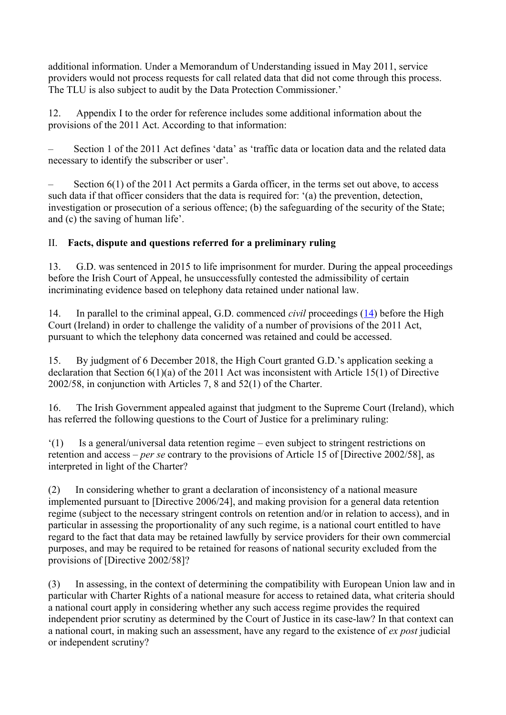additional information. Under a Memorandum of Understanding issued in May 2011, service providers would not process requests for call related data that did not come through this process. The TLU is also subject to audit by the Data Protection Commissioner.'

12. Appendix I to the order for reference includes some additional information about the provisions of the 2011 Act. According to that information:

– Section 1 of the 2011 Act defines 'data' as 'traffic data or location data and the related data necessary to identify the subscriber or user'.

– Section 6(1) of the 2011 Act permits a Garda officer, in the terms set out above, to access such data if that officer considers that the data is required for: '(a) the prevention, detection, investigation or prosecution of a serious offence; (b) the safeguarding of the security of the State; and (c) the saving of human life'.

## II. **Facts, dispute and questions referred for a preliminary ruling**

13. G.D. was sentenced in 2015 to life imprisonment for murder. During the appeal proceedings before the Irish Court of Appeal, he unsuccessfully contested the admissibility of certain incriminating evidence based on telephony data retained under national law.

14. In parallel to the criminal appeal, G.D. commenced *civil* proceedings (14) before the High Court (Ireland) in order to challenge the validity of a number of provisions of the 2011 Act, pursuant to which the telephony data concerned was retained and could be accessed.

15. By judgment of 6 December 2018, the High Court granted G.D.'s application seeking a declaration that Section 6(1)(a) of the 2011 Act was inconsistent with Article 15(1) of Directive 2002/58, in conjunction with Articles 7, 8 and 52(1) of the Charter.

16. The Irish Government appealed against that judgment to the Supreme Court (Ireland), which has referred the following questions to the Court of Justice for a preliminary ruling:

'(1) Is a general/universal data retention regime – even subject to stringent restrictions on retention and access – *per se* contrary to the provisions of Article 15 of [Directive 2002/58], as interpreted in light of the Charter?

(2) In considering whether to grant a declaration of inconsistency of a national measure implemented pursuant to [Directive 2006/24], and making provision for a general data retention regime (subject to the necessary stringent controls on retention and/or in relation to access), and in particular in assessing the proportionality of any such regime, is a national court entitled to have regard to the fact that data may be retained lawfully by service providers for their own commercial purposes, and may be required to be retained for reasons of national security excluded from the provisions of [Directive 2002/58]?

(3) In assessing, in the context of determining the compatibility with European Union law and in particular with Charter Rights of a national measure for access to retained data, what criteria should a national court apply in considering whether any such access regime provides the required independent prior scrutiny as determined by the Court of Justice in its case-law? In that context can a national court, in making such an assessment, have any regard to the existence of *ex post* judicial or independent scrutiny?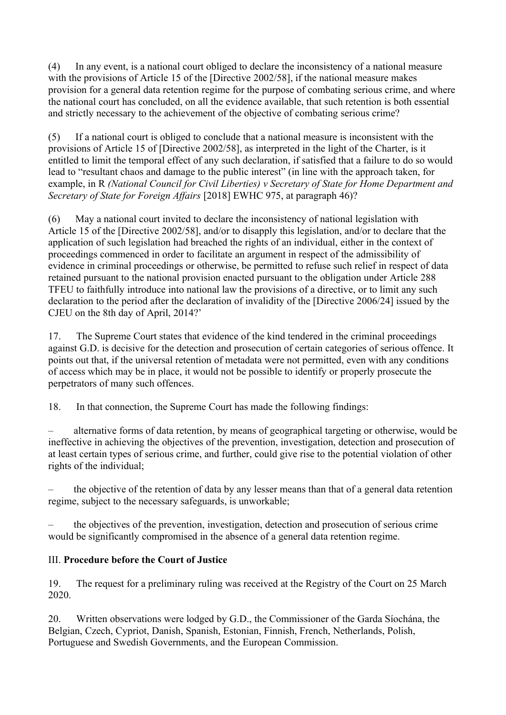(4) In any event, is a national court obliged to declare the inconsistency of a national measure with the provisions of Article 15 of the [Directive 2002/58], if the national measure makes provision for a general data retention regime for the purpose of combating serious crime, and where the national court has concluded, on all the evidence available, that such retention is both essential and strictly necessary to the achievement of the objective of combating serious crime?

(5) If a national court is obliged to conclude that a national measure is inconsistent with the provisions of Article 15 of [Directive 2002/58], as interpreted in the light of the Charter, is it entitled to limit the temporal effect of any such declaration, if satisfied that a failure to do so would lead to "resultant chaos and damage to the public interest" (in line with the approach taken, for example, in R *(National Council for Civil Liberties) v Secretary of State for Home Department and Secretary of State for Foreign Affairs* [2018] EWHC 975, at paragraph 46)?

(6) May a national court invited to declare the inconsistency of national legislation with Article 15 of the [Directive 2002/58], and/or to disapply this legislation, and/or to declare that the application of such legislation had breached the rights of an individual, either in the context of proceedings commenced in order to facilitate an argument in respect of the admissibility of evidence in criminal proceedings or otherwise, be permitted to refuse such relief in respect of data retained pursuant to the national provision enacted pursuant to the obligation under Article 288 TFEU to faithfully introduce into national law the provisions of a directive, or to limit any such declaration to the period after the declaration of invalidity of the [Directive 2006/24] issued by the CJEU on the 8th day of April, 2014?'

17. The Supreme Court states that evidence of the kind tendered in the criminal proceedings against G.D. is decisive for the detection and prosecution of certain categories of serious offence. It points out that, if the universal retention of metadata were not permitted, even with any conditions of access which may be in place, it would not be possible to identify or properly prosecute the perpetrators of many such offences.

18. In that connection, the Supreme Court has made the following findings:

– alternative forms of data retention, by means of geographical targeting or otherwise, would be ineffective in achieving the objectives of the prevention, investigation, detection and prosecution of at least certain types of serious crime, and further, could give rise to the potential violation of other rights of the individual;

– the objective of the retention of data by any lesser means than that of a general data retention regime, subject to the necessary safeguards, is unworkable;

– the objectives of the prevention, investigation, detection and prosecution of serious crime would be significantly compromised in the absence of a general data retention regime.

#### III. **Procedure before the Court of Justice**

19. The request for a preliminary ruling was received at the Registry of the Court on 25 March 2020.

20. Written observations were lodged by G.D., the Commissioner of the Garda Síochána, the Belgian, Czech, Cypriot, Danish, Spanish, Estonian, Finnish, French, Netherlands, Polish, Portuguese and Swedish Governments, and the European Commission.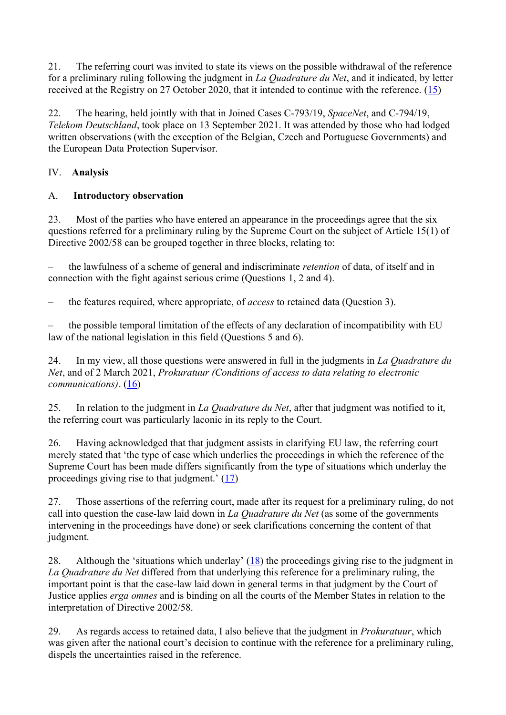21. The referring court was invited to state its views on the possible withdrawal of the reference for a preliminary ruling following the judgment in *La Quadrature du Net*, and it indicated, by letter received at the Registry on 27 October 2020, that it intended to continue with the reference. (15)

22. The hearing, held jointly with that in Joined Cases C-793/19, *SpaceNet*, and C-794/19, *Telekom Deutschland*, took place on 13 September 2021. It was attended by those who had lodged written observations (with the exception of the Belgian, Czech and Portuguese Governments) and the European Data Protection Supervisor.

# IV. **Analysis**

## A. **Introductory observation**

23. Most of the parties who have entered an appearance in the proceedings agree that the six questions referred for a preliminary ruling by the Supreme Court on the subject of Article 15(1) of Directive 2002/58 can be grouped together in three blocks, relating to:

– the lawfulness of a scheme of general and indiscriminate *retention* of data, of itself and in connection with the fight against serious crime (Questions 1, 2 and 4).

– the features required, where appropriate, of *access* to retained data (Question 3).

– the possible temporal limitation of the effects of any declaration of incompatibility with EU law of the national legislation in this field (Questions 5 and 6).

24. In my view, all those questions were answered in full in the judgments in *La Quadrature du Net*, and of 2 March 2021, *Prokuratuur (Conditions of access to data relating to electronic communications*). (16)

25. In relation to the judgment in *La Quadrature du Net*, after that judgment was notified to it, the referring court was particularly laconic in its reply to the Court.

26. Having acknowledged that that judgment assists in clarifying EU law, the referring court merely stated that 'the type of case which underlies the proceedings in which the reference of the Supreme Court has been made differs significantly from the type of situations which underlay the proceedings giving rise to that judgment.' (17)

27. Those assertions of the referring court, made after its request for a preliminary ruling, do not call into question the case-law laid down in *La Quadrature du Net* (as some of the governments intervening in the proceedings have done) or seek clarifications concerning the content of that judgment.

28. Although the 'situations which underlay'  $(18)$  the proceedings giving rise to the judgment in *La Quadrature du Net* differed from that underlying this reference for a preliminary ruling, the important point is that the case-law laid down in general terms in that judgment by the Court of Justice applies *erga omnes* and is binding on all the courts of the Member States in relation to the interpretation of Directive 2002/58.

29. As regards access to retained data, I also believe that the judgment in *Prokuratuur*, which was given after the national court's decision to continue with the reference for a preliminary ruling, dispels the uncertainties raised in the reference.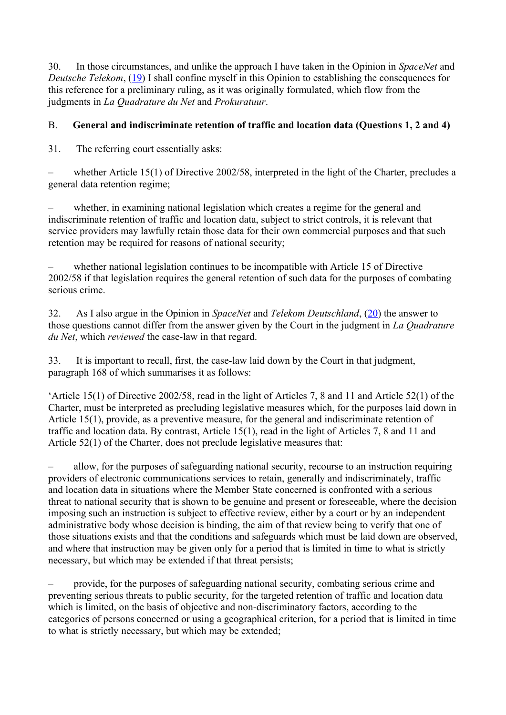30. In those circumstances, and unlike the approach I have taken in the Opinion in *SpaceNet* and *Deutsche Telekom*, (19) I shall confine myself in this Opinion to establishing the consequences for this reference for a preliminary ruling, as it was originally formulated, which flow from the judgments in *La Quadrature du Net* and *Prokuratuur*.

## B. **General and indiscriminate retention of traffic and location data (Questions 1, 2 and 4)**

31. The referring court essentially asks:

– whether Article 15(1) of Directive 2002/58, interpreted in the light of the Charter, precludes a general data retention regime;

– whether, in examining national legislation which creates a regime for the general and indiscriminate retention of traffic and location data, subject to strict controls, it is relevant that service providers may lawfully retain those data for their own commercial purposes and that such retention may be required for reasons of national security;

– whether national legislation continues to be incompatible with Article 15 of Directive 2002/58 if that legislation requires the general retention of such data for the purposes of combating serious crime.

32. As I also argue in the Opinion in *SpaceNet* and *Telekom Deutschland*, (20) the answer to those questions cannot differ from the answer given by the Court in the judgment in *La Quadrature du Net*, which *reviewed* the case-law in that regard.

33. It is important to recall, first, the case-law laid down by the Court in that judgment, paragraph 168 of which summarises it as follows:

'Article 15(1) of Directive 2002/58, read in the light of Articles 7, 8 and 11 and Article 52(1) of the Charter, must be interpreted as precluding legislative measures which, for the purposes laid down in Article 15(1), provide, as a preventive measure, for the general and indiscriminate retention of traffic and location data. By contrast, Article 15(1), read in the light of Articles 7, 8 and 11 and Article 52(1) of the Charter, does not preclude legislative measures that:

– allow, for the purposes of safeguarding national security, recourse to an instruction requiring providers of electronic communications services to retain, generally and indiscriminately, traffic and location data in situations where the Member State concerned is confronted with a serious threat to national security that is shown to be genuine and present or foreseeable, where the decision imposing such an instruction is subject to effective review, either by a court or by an independent administrative body whose decision is binding, the aim of that review being to verify that one of those situations exists and that the conditions and safeguards which must be laid down are observed, and where that instruction may be given only for a period that is limited in time to what is strictly necessary, but which may be extended if that threat persists;

– provide, for the purposes of safeguarding national security, combating serious crime and preventing serious threats to public security, for the targeted retention of traffic and location data which is limited, on the basis of objective and non-discriminatory factors, according to the categories of persons concerned or using a geographical criterion, for a period that is limited in time to what is strictly necessary, but which may be extended;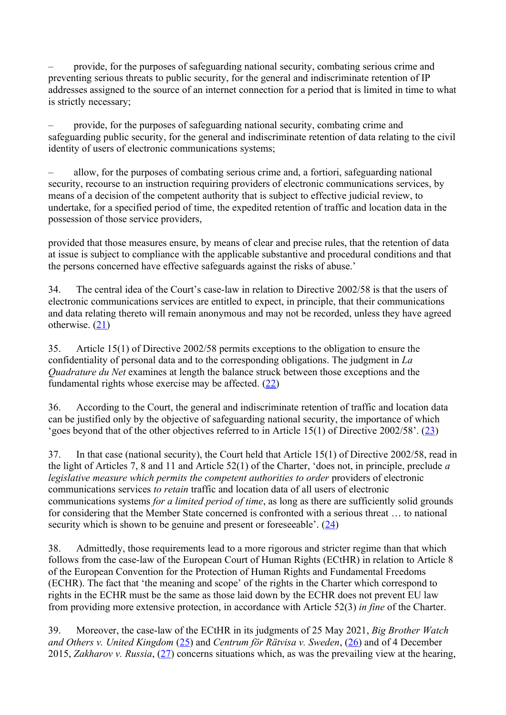– provide, for the purposes of safeguarding national security, combating serious crime and preventing serious threats to public security, for the general and indiscriminate retention of IP addresses assigned to the source of an internet connection for a period that is limited in time to what is strictly necessary;

– provide, for the purposes of safeguarding national security, combating crime and safeguarding public security, for the general and indiscriminate retention of data relating to the civil identity of users of electronic communications systems;

– allow, for the purposes of combating serious crime and, a fortiori, safeguarding national security, recourse to an instruction requiring providers of electronic communications services, by means of a decision of the competent authority that is subject to effective judicial review, to undertake, for a specified period of time, the expedited retention of traffic and location data in the possession of those service providers,

provided that those measures ensure, by means of clear and precise rules, that the retention of data at issue is subject to compliance with the applicable substantive and procedural conditions and that the persons concerned have effective safeguards against the risks of abuse.'

34. The central idea of the Court's case-law in relation to Directive 2002/58 is that the users of electronic communications services are entitled to expect, in principle, that their communications and data relating thereto will remain anonymous and may not be recorded, unless they have agreed otherwise. (21)

35. Article 15(1) of Directive 2002/58 permits exceptions to the obligation to ensure the confidentiality of personal data and to the corresponding obligations. The judgment in *La Quadrature du Net* examines at length the balance struck between those exceptions and the fundamental rights whose exercise may be affected. (22)

36. According to the Court, the general and indiscriminate retention of traffic and location data can be justified only by the objective of safeguarding national security, the importance of which 'goes beyond that of the other objectives referred to in Article 15(1) of Directive 2002/58'. (23)

37. In that case (national security), the Court held that Article 15(1) of Directive 2002/58, read in the light of Articles 7, 8 and 11 and Article 52(1) of the Charter, 'does not, in principle, preclude *a legislative measure which permits the competent authorities to order* providers of electronic communications services *to retain* traffic and location data of all users of electronic communications systems *for a limited period of time*, as long as there are sufficiently solid grounds for considering that the Member State concerned is confronted with a serious threat … to national security which is shown to be genuine and present or foreseeable'. (24)

38. Admittedly, those requirements lead to a more rigorous and stricter regime than that which follows from the case-law of the European Court of Human Rights (ECtHR) in relation to Article 8 of the European Convention for the Protection of Human Rights and Fundamental Freedoms (ECHR). The fact that 'the meaning and scope' of the rights in the Charter which correspond to rights in the ECHR must be the same as those laid down by the ECHR does not prevent EU law from providing more extensive protection, in accordance with Article 52(3) *in fine* of the Charter.

39. Moreover, the case-law of the ECtHR in its judgments of 25 May 2021, *Big Brother Watch and Others v. United Kingdom* (25) and *Centrum för Rätvisa v. Sweden*, (26) and of 4 December 2015, *Zakharov v. Russia*, (27) concerns situations which, as was the prevailing view at the hearing,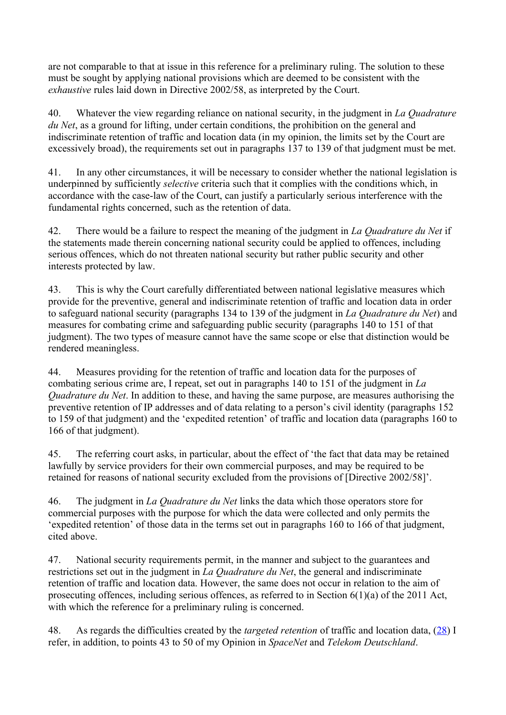are not comparable to that at issue in this reference for a preliminary ruling. The solution to these must be sought by applying national provisions which are deemed to be consistent with the *exhaustive* rules laid down in Directive 2002/58, as interpreted by the Court.

40. Whatever the view regarding reliance on national security, in the judgment in *La Quadrature du Net*, as a ground for lifting, under certain conditions, the prohibition on the general and indiscriminate retention of traffic and location data (in my opinion, the limits set by the Court are excessively broad), the requirements set out in paragraphs 137 to 139 of that judgment must be met.

41. In any other circumstances, it will be necessary to consider whether the national legislation is underpinned by sufficiently *selective* criteria such that it complies with the conditions which, in accordance with the case-law of the Court, can justify a particularly serious interference with the fundamental rights concerned, such as the retention of data.

42. There would be a failure to respect the meaning of the judgment in *La Quadrature du Net* if the statements made therein concerning national security could be applied to offences, including serious offences, which do not threaten national security but rather public security and other interests protected by law.

43. This is why the Court carefully differentiated between national legislative measures which provide for the preventive, general and indiscriminate retention of traffic and location data in order to safeguard national security (paragraphs 134 to 139 of the judgment in *La Quadrature du Net*) and measures for combating crime and safeguarding public security (paragraphs 140 to 151 of that judgment). The two types of measure cannot have the same scope or else that distinction would be rendered meaningless.

44. Measures providing for the retention of traffic and location data for the purposes of combating serious crime are, I repeat, set out in paragraphs 140 to 151 of the judgment in *La Quadrature du Net*. In addition to these, and having the same purpose, are measures authorising the preventive retention of IP addresses and of data relating to a person's civil identity (paragraphs 152 to 159 of that judgment) and the 'expedited retention' of traffic and location data (paragraphs 160 to 166 of that judgment).

45. The referring court asks, in particular, about the effect of 'the fact that data may be retained lawfully by service providers for their own commercial purposes, and may be required to be retained for reasons of national security excluded from the provisions of [Directive 2002/58]'.

46. The judgment in *La Quadrature du Net* links the data which those operators store for commercial purposes with the purpose for which the data were collected and only permits the 'expedited retention' of those data in the terms set out in paragraphs 160 to 166 of that judgment, cited above.

47. National security requirements permit, in the manner and subject to the guarantees and restrictions set out in the judgment in *La Quadrature du Net*, the general and indiscriminate retention of traffic and location data. However, the same does not occur in relation to the aim of prosecuting offences, including serious offences, as referred to in Section 6(1)(a) of the 2011 Act, with which the reference for a preliminary ruling is concerned.

48. As regards the difficulties created by the *targeted retention* of traffic and location data, (28) I refer, in addition, to points 43 to 50 of my Opinion in *SpaceNet* and *Telekom Deutschland*.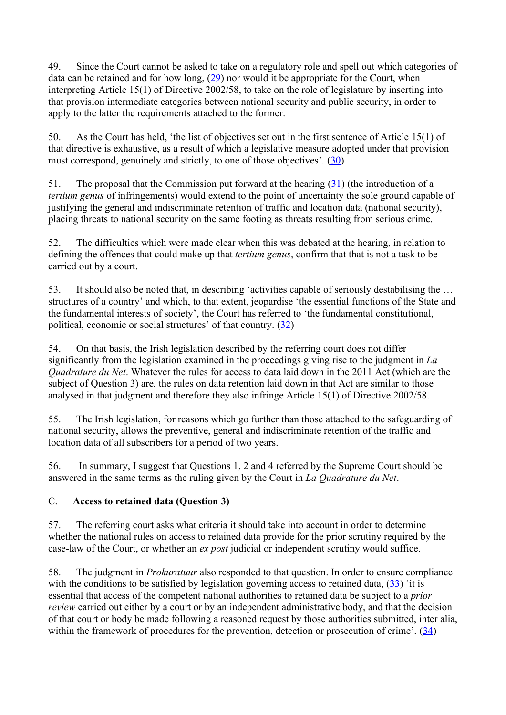49. Since the Court cannot be asked to take on a regulatory role and spell out which categories of data can be retained and for how long,  $(29)$  nor would it be appropriate for the Court, when interpreting Article 15(1) of Directive 2002/58, to take on the role of legislature by inserting into that provision intermediate categories between national security and public security, in order to apply to the latter the requirements attached to the former.

50. As the Court has held, 'the list of objectives set out in the first sentence of Article 15(1) of that directive is exhaustive, as a result of which a legislative measure adopted under that provision must correspond, genuinely and strictly, to one of those objectives'. (30)

51. The proposal that the Commission put forward at the hearing  $(31)$  (the introduction of a *tertium genus* of infringements) would extend to the point of uncertainty the sole ground capable of justifying the general and indiscriminate retention of traffic and location data (national security), placing threats to national security on the same footing as threats resulting from serious crime.

52. The difficulties which were made clear when this was debated at the hearing, in relation to defining the offences that could make up that *tertium genus*, confirm that that is not a task to be carried out by a court.

53. It should also be noted that, in describing 'activities capable of seriously destabilising the … structures of a country' and which, to that extent, jeopardise 'the essential functions of the State and the fundamental interests of society', the Court has referred to 'the fundamental constitutional, political, economic or social structures' of that country. (32)

54. On that basis, the Irish legislation described by the referring court does not differ significantly from the legislation examined in the proceedings giving rise to the judgment in *La Quadrature du Net*. Whatever the rules for access to data laid down in the 2011 Act (which are the subject of Question 3) are, the rules on data retention laid down in that Act are similar to those analysed in that judgment and therefore they also infringe Article 15(1) of Directive 2002/58.

55. The Irish legislation, for reasons which go further than those attached to the safeguarding of national security, allows the preventive, general and indiscriminate retention of the traffic and location data of all subscribers for a period of two years.

56. In summary, I suggest that Questions 1, 2 and 4 referred by the Supreme Court should be answered in the same terms as the ruling given by the Court in *La Quadrature du Net*.

## C. **Access to retained data (Question 3)**

57. The referring court asks what criteria it should take into account in order to determine whether the national rules on access to retained data provide for the prior scrutiny required by the case-law of the Court, or whether an *ex post* judicial or independent scrutiny would suffice.

58. The judgment in *Prokuratuur* also responded to that question. In order to ensure compliance with the conditions to be satisfied by legislation governing access to retained data,  $(33)$  'it is essential that access of the competent national authorities to retained data be subject to a *prior review* carried out either by a court or by an independent administrative body, and that the decision of that court or body be made following a reasoned request by those authorities submitted, inter alia, within the framework of procedures for the prevention, detection or prosecution of crime'. (34)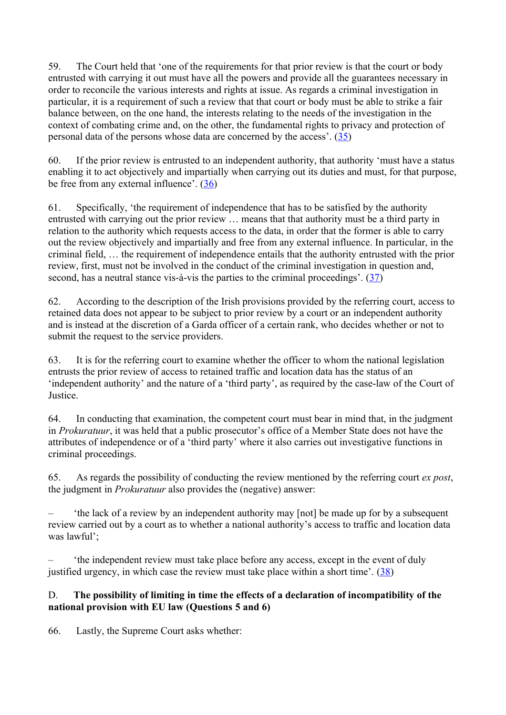59. The Court held that 'one of the requirements for that prior review is that the court or body entrusted with carrying it out must have all the powers and provide all the guarantees necessary in order to reconcile the various interests and rights at issue. As regards a criminal investigation in particular, it is a requirement of such a review that that court or body must be able to strike a fair balance between, on the one hand, the interests relating to the needs of the investigation in the context of combating crime and, on the other, the fundamental rights to privacy and protection of personal data of the persons whose data are concerned by the access'. (35)

60. If the prior review is entrusted to an independent authority, that authority 'must have a status enabling it to act objectively and impartially when carrying out its duties and must, for that purpose, be free from any external influence'. (36)

61. Specifically, 'the requirement of independence that has to be satisfied by the authority entrusted with carrying out the prior review … means that that authority must be a third party in relation to the authority which requests access to the data, in order that the former is able to carry out the review objectively and impartially and free from any external influence. In particular, in the criminal field, … the requirement of independence entails that the authority entrusted with the prior review, first, must not be involved in the conduct of the criminal investigation in question and, second, has a neutral stance vis-à-vis the parties to the criminal proceedings'. (37)

62. According to the description of the Irish provisions provided by the referring court, access to retained data does not appear to be subject to prior review by a court or an independent authority and is instead at the discretion of a Garda officer of a certain rank, who decides whether or not to submit the request to the service providers.

63. It is for the referring court to examine whether the officer to whom the national legislation entrusts the prior review of access to retained traffic and location data has the status of an 'independent authority' and the nature of a 'third party', as required by the case-law of the Court of Justice.

64. In conducting that examination, the competent court must bear in mind that, in the judgment in *Prokuratuur*, it was held that a public prosecutor's office of a Member State does not have the attributes of independence or of a 'third party' where it also carries out investigative functions in criminal proceedings.

65. As regards the possibility of conducting the review mentioned by the referring court *ex post*, the judgment in *Prokuratuur* also provides the (negative) answer:

– 'the lack of a review by an independent authority may [not] be made up for by a subsequent review carried out by a court as to whether a national authority's access to traffic and location data was lawful';

– 'the independent review must take place before any access, except in the event of duly justified urgency, in which case the review must take place within a short time'. (38)

## D. **The possibility of limiting in time the effects of a declaration of incompatibility of the national provision with EU law (Questions 5 and 6)**

66. Lastly, the Supreme Court asks whether: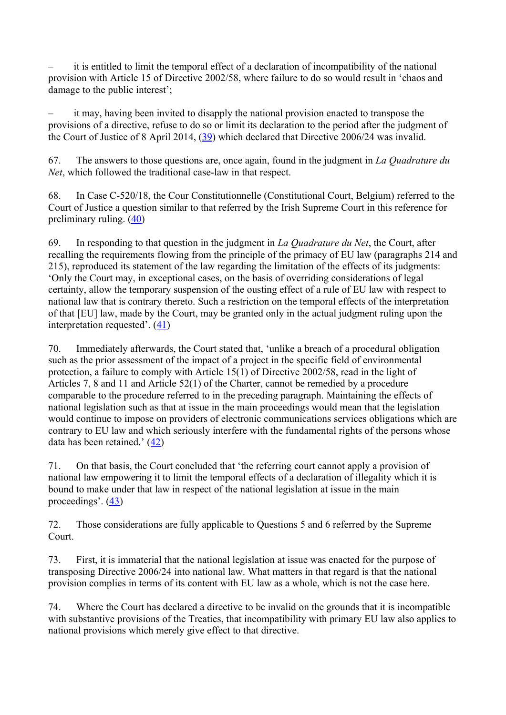– it is entitled to limit the temporal effect of a declaration of incompatibility of the national provision with Article 15 of Directive 2002/58, where failure to do so would result in 'chaos and damage to the public interest';

– it may, having been invited to disapply the national provision enacted to transpose the provisions of a directive, refuse to do so or limit its declaration to the period after the judgment of the Court of Justice of 8 April 2014, (39) which declared that Directive 2006/24 was invalid.

67. The answers to those questions are, once again, found in the judgment in *La Quadrature du Net*, which followed the traditional case-law in that respect.

68. In Case C-520/18, the Cour Constitutionnelle (Constitutional Court, Belgium) referred to the Court of Justice a question similar to that referred by the Irish Supreme Court in this reference for preliminary ruling. (40)

69. In responding to that question in the judgment in *La Quadrature du Net*, the Court, after recalling the requirements flowing from the principle of the primacy of EU law (paragraphs 214 and 215), reproduced its statement of the law regarding the limitation of the effects of its judgments: 'Only the Court may, in exceptional cases, on the basis of overriding considerations of legal certainty, allow the temporary suspension of the ousting effect of a rule of EU law with respect to national law that is contrary thereto. Such a restriction on the temporal effects of the interpretation of that [EU] law, made by the Court, may be granted only in the actual judgment ruling upon the interpretation requested'. (41)

70. Immediately afterwards, the Court stated that, 'unlike a breach of a procedural obligation such as the prior assessment of the impact of a project in the specific field of environmental protection, a failure to comply with Article 15(1) of Directive 2002/58, read in the light of Articles 7, 8 and 11 and Article 52(1) of the Charter, cannot be remedied by a procedure comparable to the procedure referred to in the preceding paragraph. Maintaining the effects of national legislation such as that at issue in the main proceedings would mean that the legislation would continue to impose on providers of electronic communications services obligations which are contrary to EU law and which seriously interfere with the fundamental rights of the persons whose data has been retained.' (42)

71. On that basis, the Court concluded that 'the referring court cannot apply a provision of national law empowering it to limit the temporal effects of a declaration of illegality which it is bound to make under that law in respect of the national legislation at issue in the main proceedings'.  $(43)$ 

72. Those considerations are fully applicable to Questions 5 and 6 referred by the Supreme Court.

73. First, it is immaterial that the national legislation at issue was enacted for the purpose of transposing Directive 2006/24 into national law. What matters in that regard is that the national provision complies in terms of its content with EU law as a whole, which is not the case here.

74. Where the Court has declared a directive to be invalid on the grounds that it is incompatible with substantive provisions of the Treaties, that incompatibility with primary EU law also applies to national provisions which merely give effect to that directive.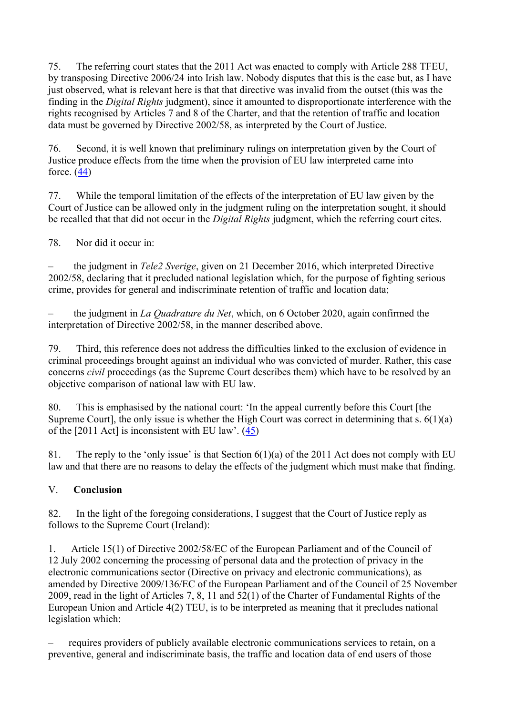75. The referring court states that the 2011 Act was enacted to comply with Article 288 TFEU, by transposing Directive 2006/24 into Irish law. Nobody disputes that this is the case but, as I have just observed, what is relevant here is that that directive was invalid from the outset (this was the finding in the *Digital Rights* judgment), since it amounted to disproportionate interference with the rights recognised by Articles 7 and 8 of the Charter, and that the retention of traffic and location data must be governed by Directive 2002/58, as interpreted by the Court of Justice.

76. Second, it is well known that preliminary rulings on interpretation given by the Court of Justice produce effects from the time when the provision of EU law interpreted came into force.  $(44)$ 

77. While the temporal limitation of the effects of the interpretation of EU law given by the Court of Justice can be allowed only in the judgment ruling on the interpretation sought, it should be recalled that that did not occur in the *Digital Rights* judgment, which the referring court cites.

78. Nor did it occur in:

– the judgment in *Tele2 Sverige*, given on 21 December 2016, which interpreted Directive 2002/58, declaring that it precluded national legislation which, for the purpose of fighting serious crime, provides for general and indiscriminate retention of traffic and location data;

– the judgment in *La Quadrature du Net*, which, on 6 October 2020, again confirmed the interpretation of Directive 2002/58, in the manner described above.

79. Third, this reference does not address the difficulties linked to the exclusion of evidence in criminal proceedings brought against an individual who was convicted of murder. Rather, this case concerns *civil* proceedings (as the Supreme Court describes them) which have to be resolved by an objective comparison of national law with EU law.

80. This is emphasised by the national court: 'In the appeal currently before this Court [the Supreme Court], the only issue is whether the High Court was correct in determining that s.  $6(1)(a)$ of the [2011 Act] is inconsistent with EU law'.  $(45)$ 

81. The reply to the 'only issue' is that Section 6(1)(a) of the 2011 Act does not comply with EU law and that there are no reasons to delay the effects of the judgment which must make that finding.

## V. **Conclusion**

82. In the light of the foregoing considerations, I suggest that the Court of Justice reply as follows to the Supreme Court (Ireland):

1. Article 15(1) of Directive 2002/58/EC of the European Parliament and of the Council of 12 July 2002 concerning the processing of personal data and the protection of privacy in the electronic communications sector (Directive on privacy and electronic communications), as amended by Directive 2009/136/EC of the European Parliament and of the Council of 25 November 2009, read in the light of Articles 7, 8, 11 and 52(1) of the Charter of Fundamental Rights of the European Union and Article 4(2) TEU, is to be interpreted as meaning that it precludes national legislation which:

– requires providers of publicly available electronic communications services to retain, on a preventive, general and indiscriminate basis, the traffic and location data of end users of those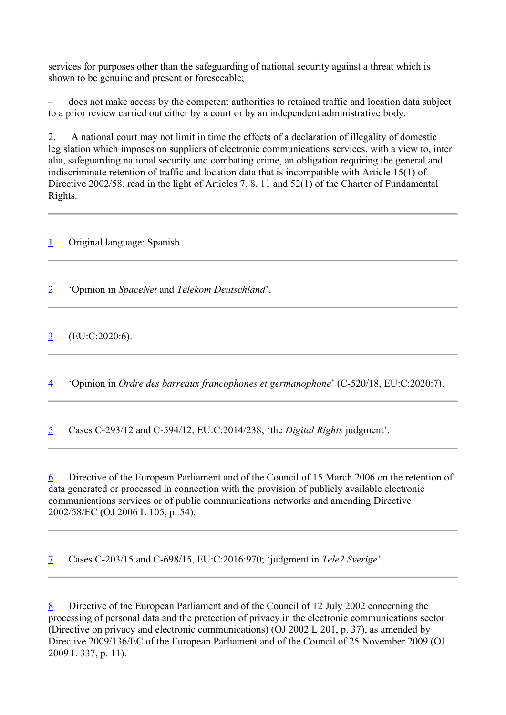services for purposes other than the safeguarding of national security against a threat which is shown to be genuine and present or foreseeable;

– does not make access by the competent authorities to retained traffic and location data subject to a prior review carried out either by a court or by an independent administrative body.

2. A national court may not limit in time the effects of a declaration of illegality of domestic legislation which imposes on suppliers of electronic communications services, with a view to, inter alia, safeguarding national security and combating crime, an obligation requiring the general and indiscriminate retention of traffic and location data that is incompatible with Article 15(1) of Directive 2002/58, read in the light of Articles 7, 8, 11 and 52(1) of the Charter of Fundamental Rights.

1 Original language: Spanish.

2 'Opinion in *SpaceNet* and *Telekom Deutschland*'.

 $\frac{3}{2}$  (EU:C:2020:6).

4 'Opinion in *Ordre des barreaux francophones et germanophone*' (C-520/18, EU:C:2020:7).

5 Cases C-293/12 and C-594/12, EU:C:2014/238; 'the *Digital Rights* judgment'.

6 Directive of the European Parliament and of the Council of 15 March 2006 on the retention of data generated or processed in connection with the provision of publicly available electronic communications services or of public communications networks and amending Directive 2002/58/EC (OJ 2006 L 105, p. 54).

7 Cases C-203/15 and C-698/15, EU:C:2016:970; 'judgment in *Tele2 Sverige*'.

8 Directive of the European Parliament and of the Council of 12 July 2002 concerning the processing of personal data and the protection of privacy in the electronic communications sector (Directive on privacy and electronic communications) (OJ 2002 L 201, p. 37), as amended by Directive 2009/136/EC of the European Parliament and of the Council of 25 November 2009 (OJ 2009 L 337, p. 11).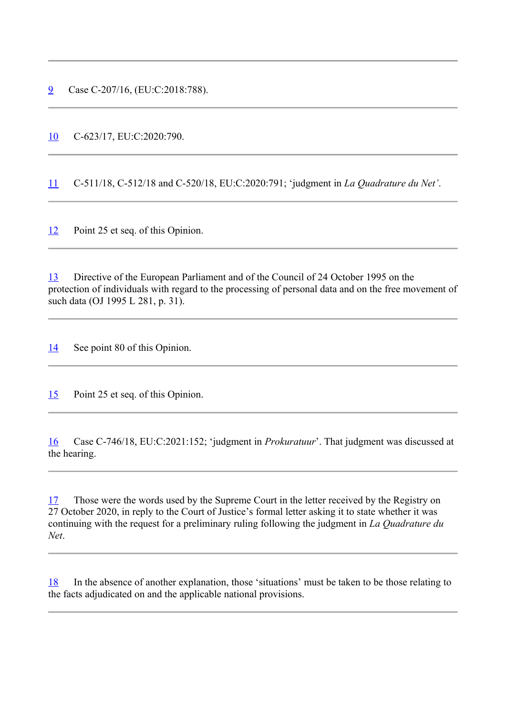9 Case C-207/16, (EU:C:2018:788).

10 C-623/17, EU:C:2020:790.

11 C-511/18, C-512/18 and C-520/18, EU:C:2020:791; 'judgment in *La Quadrature du Net'*.

12 Point 25 et seq. of this Opinion.

13 Directive of the European Parliament and of the Council of 24 October 1995 on the protection of individuals with regard to the processing of personal data and on the free movement of such data (OJ 1995 L 281, p. 31).

14 See point 80 of this Opinion.

15 Point 25 et seq. of this Opinion.

16 Case C-746/18, EU:C:2021:152; 'judgment in *Prokuratuur*'. That judgment was discussed at the hearing.

17 Those were the words used by the Supreme Court in the letter received by the Registry on 27 October 2020, in reply to the Court of Justice's formal letter asking it to state whether it was continuing with the request for a preliminary ruling following the judgment in *La Quadrature du Net*.

18 In the absence of another explanation, those 'situations' must be taken to be those relating to the facts adjudicated on and the applicable national provisions.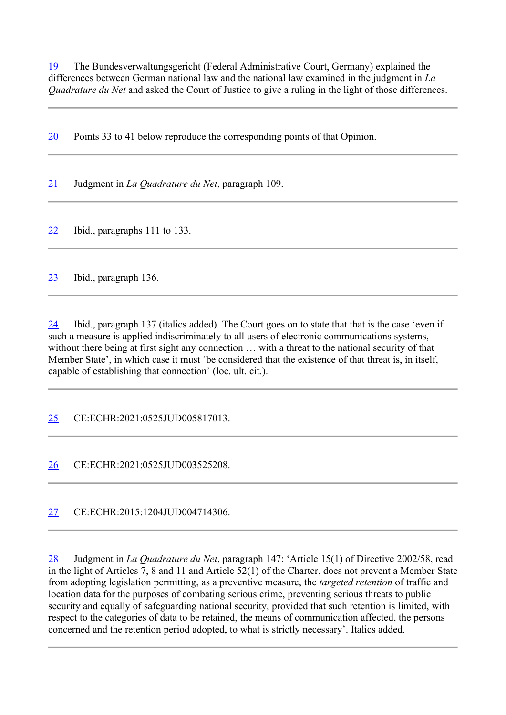19 The Bundesverwaltungsgericht (Federal Administrative Court, Germany) explained the differences between German national law and the national law examined in the judgment in *La Quadrature du Net* and asked the Court of Justice to give a ruling in the light of those differences.

20 Points 33 to 41 below reproduce the corresponding points of that Opinion.

21 Judgment in *La Quadrature du Net*, paragraph 109.

22 Ibid., paragraphs 111 to 133.

23 Ibid., paragraph 136.

24 Ibid., paragraph 137 (italics added). The Court goes on to state that that is the case 'even if such a measure is applied indiscriminately to all users of electronic communications systems, without there being at first sight any connection ... with a threat to the national security of that Member State', in which case it must 'be considered that the existence of that threat is, in itself, capable of establishing that connection' (loc. ult. cit.).

25 CE:ECHR:2021:0525JUD005817013.

26 CE:ECHR:2021:0525JUD003525208.

27 CE:ECHR:2015:1204JUD004714306.

28 Judgment in *La Quadrature du Net*, paragraph 147: 'Article 15(1) of Directive 2002/58, read in the light of Articles 7, 8 and 11 and Article 52(1) of the Charter, does not prevent a Member State from adopting legislation permitting, as a preventive measure, the *targeted retention* of traffic and location data for the purposes of combating serious crime, preventing serious threats to public security and equally of safeguarding national security, provided that such retention is limited, with respect to the categories of data to be retained, the means of communication affected, the persons concerned and the retention period adopted, to what is strictly necessary'. Italics added.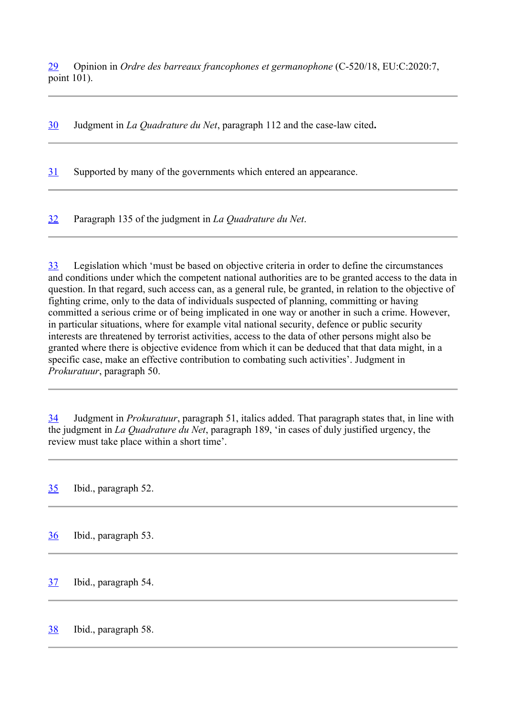29 Opinion in *Ordre des barreaux francophones et germanophone* (C-520/18, EU:C:2020:7, point 101).

30 Judgment in *La Quadrature du Net*, paragraph 112 and the case-law cited**.**

31 Supported by many of the governments which entered an appearance.

32 Paragraph 135 of the judgment in *La Quadrature du Net*.

33 Legislation which 'must be based on objective criteria in order to define the circumstances and conditions under which the competent national authorities are to be granted access to the data in question. In that regard, such access can, as a general rule, be granted, in relation to the objective of fighting crime, only to the data of individuals suspected of planning, committing or having committed a serious crime or of being implicated in one way or another in such a crime. However, in particular situations, where for example vital national security, defence or public security interests are threatened by terrorist activities, access to the data of other persons might also be granted where there is objective evidence from which it can be deduced that that data might, in a specific case, make an effective contribution to combating such activities'. Judgment in *Prokuratuur*, paragraph 50.

34 Judgment in *Prokuratuur*, paragraph 51, italics added. That paragraph states that, in line with the judgment in *La Quadrature du Net*, paragraph 189, 'in cases of duly justified urgency, the review must take place within a short time'.

35 Ibid., paragraph 52.

36 Ibid., paragraph 53.

37 Ibid., paragraph 54.

38 Ibid., paragraph 58.